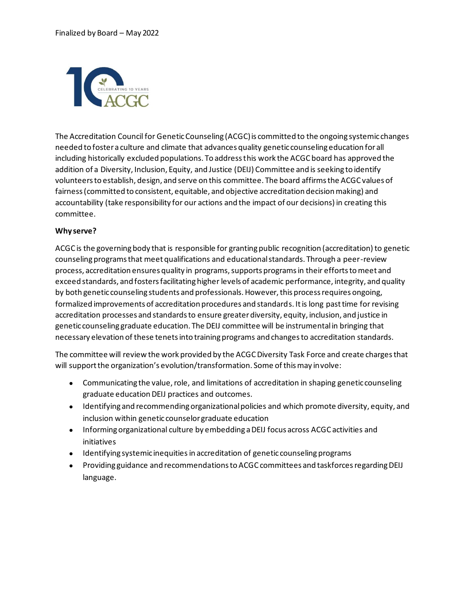

The Accreditation Council for Genetic Counseling (ACGC) is committed to the ongoing systemic changes needed to foster a culture and climate that advances quality genetic counseling education for all including historically excluded populations. To address this work the ACGC board has approved the addition of a Diversity, Inclusion, Equity, and Justice (DEIJ) Committee and is seeking to identify volunteers to establish, design, and serve on this committee. The board affirms the ACGC values of fairness (committed to consistent, equitable, and objective accreditation decision making) and accountability (take responsibility for our actions and the impact of our decisions) in creating this committee.

## **Why serve?**

ACGC is the governing body that is responsible for granting public recognition (accreditation) to genetic counseling programs that meet qualifications and educational standards. Through a peer-review process, accreditation ensures quality in programs, supports programs in their efforts to meet and exceed standards, and fosters facilitating higher levels of academic performance, integrity, and quality by both genetic counseling students and professionals. However, this process requires ongoing, formalized improvements of accreditation procedures and standards. It is long past time for revising accreditation processes and standards to ensure greater diversity, equity, inclusion, and justice in genetic counseling graduate education. The DEIJ committee will be instrumental in bringing that necessary elevation of these tenets into training programs and changes to accreditation standards.

The committee will review the work provided by the ACGC Diversity Task Force and create charges that will support the organization's evolution/transformation. Some of this may involve:

- Communicating the value, role, and limitations of accreditation in shaping genetic counseling graduate education DEIJ practices and outcomes.
- Identifying and recommending organizational policies and which promote diversity, equity, and inclusion within genetic counselor graduate education
- Informing organizational culture by embedding a DEIJ focus across ACGC activities and initiatives
- Identifying systemic inequities in accreditation of genetic counseling programs
- Providing guidance and recommendations to ACGC committees and taskforces regarding DEIJ language.